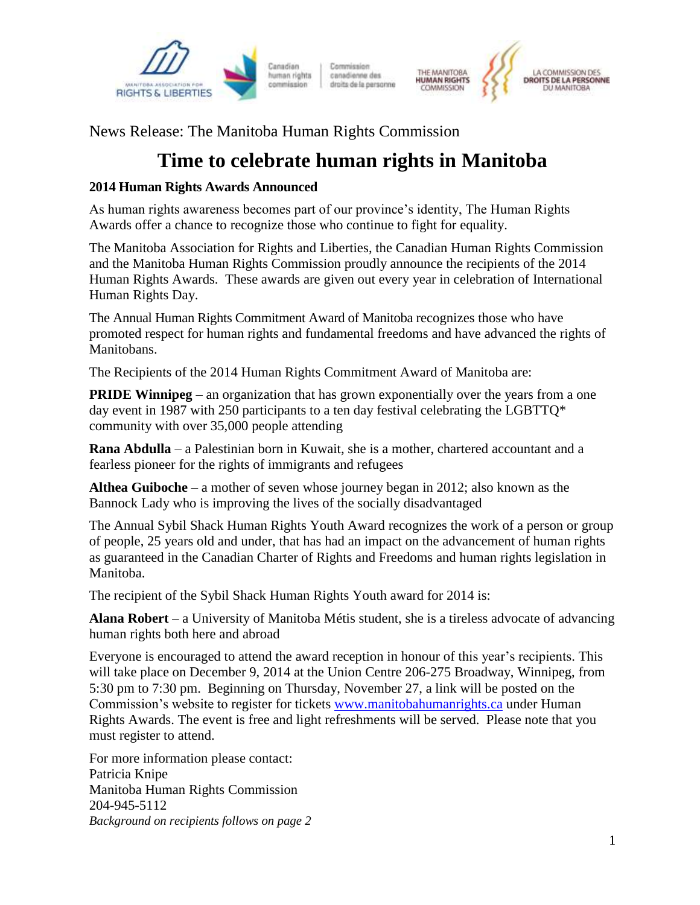

Commission canadienne des droits de la personne



News Release: The Manitoba Human Rights Commission

## **Time to celebrate human rights in Manitoba**

## **2014 Human Rights Awards Announced**

As human rights awareness becomes part of our province's identity, The Human Rights Awards offer a chance to recognize those who continue to fight for equality.

The Manitoba Association for Rights and Liberties, the Canadian Human Rights Commission and the Manitoba Human Rights Commission proudly announce the recipients of the 2014 Human Rights Awards. These awards are given out every year in celebration of International Human Rights Day.

The Annual Human Rights Commitment Award of Manitoba recognizes those who have promoted respect for human rights and fundamental freedoms and have advanced the rights of Manitobans.

The Recipients of the 2014 Human Rights Commitment Award of Manitoba are:

**PRIDE Winnipeg** – an organization that has grown exponentially over the years from a one day event in 1987 with 250 participants to a ten day festival celebrating the LGBTTQ\* community with over 35,000 people attending

**Rana Abdulla** – a Palestinian born in Kuwait, she is a mother, chartered accountant and a fearless pioneer for the rights of immigrants and refugees

**Althea Guiboche** – a mother of seven whose journey began in 2012; also known as the Bannock Lady who is improving the lives of the socially disadvantaged

The Annual Sybil Shack Human Rights Youth Award recognizes the work of a person or group of people, 25 years old and under, that has had an impact on the advancement of human rights as guaranteed in the Canadian Charter of Rights and Freedoms and human rights legislation in Manitoba.

The recipient of the Sybil Shack Human Rights Youth award for 2014 is:

**Alana Robert** – a University of Manitoba Métis student, she is a tireless advocate of advancing human rights both here and abroad

Everyone is encouraged to attend the award reception in honour of this year's recipients. This will take place on December 9, 2014 at the Union Centre 206-275 Broadway, Winnipeg, from 5:30 pm to 7:30 pm. Beginning on Thursday, November 27, a link will be posted on the Commission's website to register for tickets [www.manitobahumanrights.ca](https://www.manitobahumanrights.ca/) under Human Rights Awards. The event is free and light refreshments will be served. Please note that you must register to attend.

For more information please contact: Patricia Knipe Manitoba Human Rights Commission 204-945-5112 *Background on recipients follows on page 2*